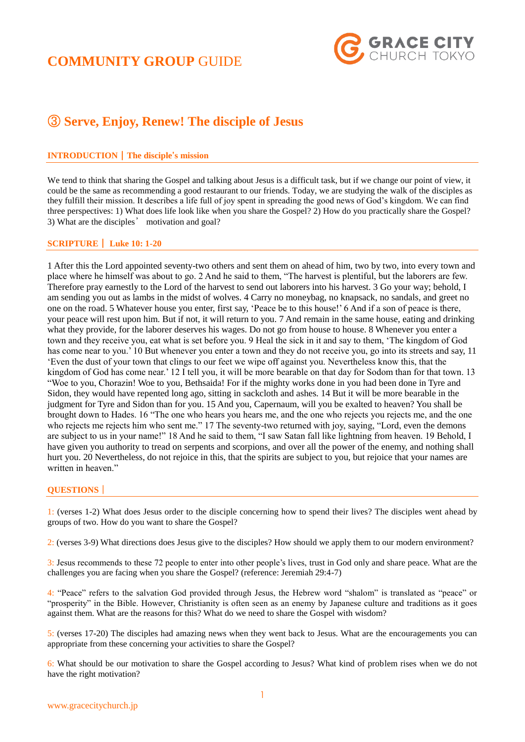# **COMMUNITY GROUP** GUIDE



## ③ **Serve, Enjoy, Renew! The disciple of Jesus**

### **INTRODUCTION**|**The disciple's mission**

We tend to think that sharing the Gospel and talking about Jesus is a difficult task, but if we change our point of view, it could be the same as recommending a good restaurant to our friends. Today, we are studying the walk of the disciples as they fulfill their mission. It describes a life full of joy spent in spreading the good news of God's kingdom. We can find three perspectives: 1) What does life look like when you share the Gospel? 2) How do you practically share the Gospel? 3) What are the disciples' motivation and goal?

### **SCRIPTURE**| **Luke 10: 1-20**

1 After this the Lord appointed seventy-two others and sent them on ahead of him, two by two, into every town and place where he himself was about to go. 2 And he said to them, "The harvest is plentiful, but the laborers are few. Therefore pray earnestly to the Lord of the harvest to send out laborers into his harvest. 3 Go your way; behold, I am sending you out as lambs in the midst of wolves. 4 Carry no moneybag, no knapsack, no sandals, and greet no one on the road. 5 Whatever house you enter, first say, 'Peace be to this house!' 6 And if a son of peace is there, your peace will rest upon him. But if not, it will return to you. 7 And remain in the same house, eating and drinking what they provide, for the laborer deserves his wages. Do not go from house to house. 8 Whenever you enter a town and they receive you, eat what is set before you. 9 Heal the sick in it and say to them, 'The kingdom of God has come near to you.' 10 But whenever you enter a town and they do not receive you, go into its streets and say, 11 'Even the dust of your town that clings to our feet we wipe off against you. Nevertheless know this, that the kingdom of God has come near.' 12 I tell you, it will be more bearable on that day for Sodom than for that town. 13 "Woe to you, Chorazin! Woe to you, Bethsaida! For if the mighty works done in you had been done in Tyre and Sidon, they would have repented long ago, sitting in sackcloth and ashes. 14 But it will be more bearable in the judgment for Tyre and Sidon than for you. 15 And you, Capernaum, will you be exalted to heaven? You shall be brought down to Hades. 16 "The one who hears you hears me, and the one who rejects you rejects me, and the one who rejects me rejects him who sent me." 17 The seventy-two returned with joy, saying, "Lord, even the demons are subject to us in your name!" 18 And he said to them, "I saw Satan fall like lightning from heaven. 19 Behold, I have given you authority to tread on serpents and scorpions, and over all the power of the enemy, and nothing shall hurt you. 20 Nevertheless, do not rejoice in this, that the spirits are subject to you, but rejoice that your names are written in heaven."

#### **QUESTIONS**|

1: (verses 1-2) What does Jesus order to the disciple concerning how to spend their lives? The disciples went ahead by groups of two. How do you want to share the Gospel?

2: (verses 3-9) What directions does Jesus give to the disciples? How should we apply them to our modern environment?

3: Jesus recommends to these 72 people to enter into other people's lives, trust in God only and share peace. What are the challenges you are facing when you share the Gospel? (reference: Jeremiah 29:4-7)

4: "Peace" refers to the salvation God provided through Jesus, the Hebrew word "shalom" is translated as "peace" or "prosperity" in the Bible. However, Christianity is often seen as an enemy by Japanese culture and traditions as it goes against them. What are the reasons for this? What do we need to share the Gospel with wisdom?

5: (verses 17-20) The disciples had amazing news when they went back to Jesus. What are the encouragements you can appropriate from these concerning your activities to share the Gospel?

6: What should be our motivation to share the Gospel according to Jesus? What kind of problem rises when we do not have the right motivation?